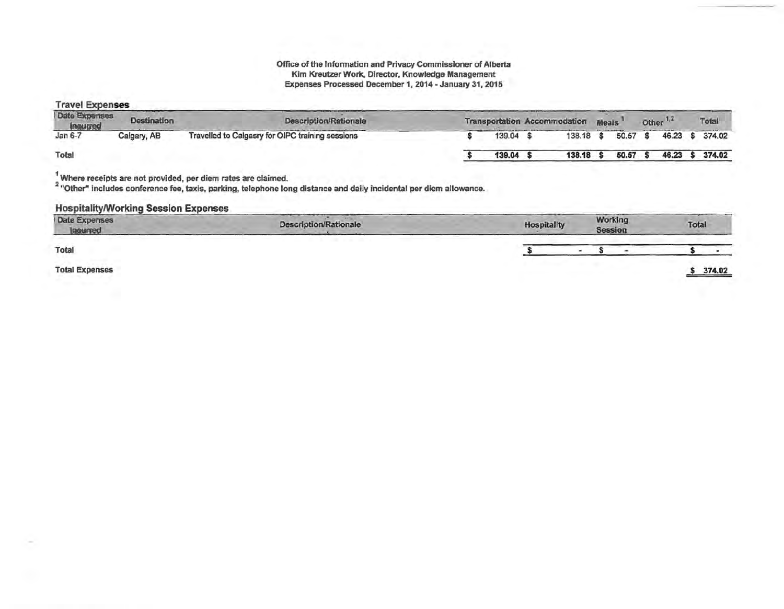#### Office of the Information and Privacy Commissioner of Alberta Kim Kreutzer Work, Director, Knowledge Management Expenses Processed December 1, 2014 - January 31, 2015

## **Travel Expenses**

| <b>Date Expenses</b><br>hautred | <b>Destination</b> | <b>Description/Rationale</b>                     |        | <b>Transportation Accommodation</b> | <b>Meals</b> |       | Other <sup>1</sup> | Total           |
|---------------------------------|--------------------|--------------------------------------------------|--------|-------------------------------------|--------------|-------|--------------------|-----------------|
| Jan $6-7$                       | Calgary, AB        | Travelled to Calgasry for OIPC training sessions | 139.04 | 138.18 \$                           |              | 50.57 |                    | 46.23 \$ 374.02 |
| Total                           |                    |                                                  | 139.04 | 138.18                              |              | 50.57 | 46.23              | 374.02          |

 $^1$  Where receipts are not provided, per diem rates are claimed.<br><sup>2</sup> "Other" includes conference fee, taxis, parking, telephone long distance and daily incidental per diem allowance.

# **Hospitality/Working Session Expenses**

| Date Expenses<br>Inourred | <b>Description/Rationale</b> | Hospitality | Working<br><b>Session</b> | Total  |
|---------------------------|------------------------------|-------------|---------------------------|--------|
| Total                     |                              |             | $\sim$                    |        |
| <b>Total Expenses</b>     |                              |             |                           | 374.02 |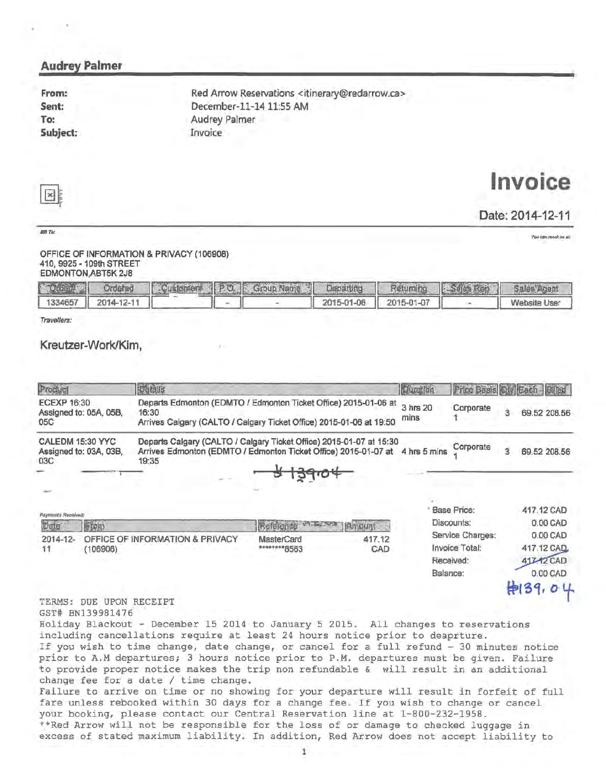# Audrey Palmer

From: Sent: To: Subjed:

Red Arrow Reservations <itinerary@redarrow.ca> December-11-1411:55 AM Audrey Palmer Invoice

# $\mathbf{x}$

BIUTo:

# **Invoice**

Date: 2014-12-11

You can rench us at:

#### OFFICE OF INFORMATION & PRIVACY (106908) 410, 9925 - 109th STREET EDMONTON,ABT5K 2J8

| 2010年4月 |                    |  | Ordated Customer P.O. Group Name Departing Returning 3546 Rep Sales Agent |                         |              |
|---------|--------------------|--|---------------------------------------------------------------------------|-------------------------|--------------|
|         | 1334657 2014-12-11 |  |                                                                           | 2015-01-06   2015-01-07 | Website User |

Travellers:

# Kreutzer-Work/Kim,

| Product                                             | <b>Details</b>                                                                                                                                               |                                   |               | <b>Qualition</b> | Price Basis                                     |   |                                                  |
|-----------------------------------------------------|--------------------------------------------------------------------------------------------------------------------------------------------------------------|-----------------------------------|---------------|------------------|-------------------------------------------------|---|--------------------------------------------------|
| <b>ECEXP 16:30</b><br>Assigned to: 05A, 05B,<br>05C | Departs Edmonton (EDMTO / Edmonton Ticket Office) 2015-01-06 at<br>16:30<br>Arrives Calgary (CALTO / Calgary Ticket Office) 2015-01-06 at 19:50              |                                   |               | 3 hrs 20<br>mins | Corporate                                       | 3 | 69.52 208.56                                     |
| CALEDM 15:30 YYC<br>Assigned to: 03A, 03B,<br>03C   | Departs Calgary (CALTO / Calgary Ticket Office) 2015-01-07 at 15:30<br>Arrives Edmonton (EDMTO / Edmonton Ticket Office) 2015-01-07 at 4 hrs 5 mins<br>19:35 |                                   |               |                  | Corporate                                       | З | 69.52 208.56                                     |
| Paymonts Recolved:<br>tom                           |                                                                                                                                                              |                                   |               |                  | <b>Base Price:</b><br>Discounts:                |   | 417.12 CAD<br>0.00 CAD                           |
| 2014-12-<br>11<br>(106908)                          | OFFICE OF INFORMATION & PRIVACY                                                                                                                              | <b>MasterCard</b><br>********8563 | 417.12<br>CAD | Balance:         | Service Charges:<br>Invoice Total:<br>Received: |   | 0.00 CAD<br>417.12 CAD<br>417.12 CAD<br>0.00 CAD |

Holiday Blackout - December 15 2014 to January 5 2015. All changes to reservations including cancellations require at least 24 hours notice prior to deaprture. If you wish to time change, date change, or cancel for a full refund - 30 minutes notice prior to A.M departures; 3 hours notice prior to P.M. departures must be given. Failure to provide proper notice makes the trip non refundable & will result in an additional change fee for a date  $/$  time change. Failure to arrive on time or no showing for your departure will result in forfeit of full

fare unless rebooked within 30 days for a change fee. If you wish to change or cancel your booking, please contact our Central Reservation line at 1-800-232-1958. \*\*Red Arrow will not be responsible for the loss of or damage to checked luggage in

excess of stated maximum liability. In addition, Red Arrow does not accept liability to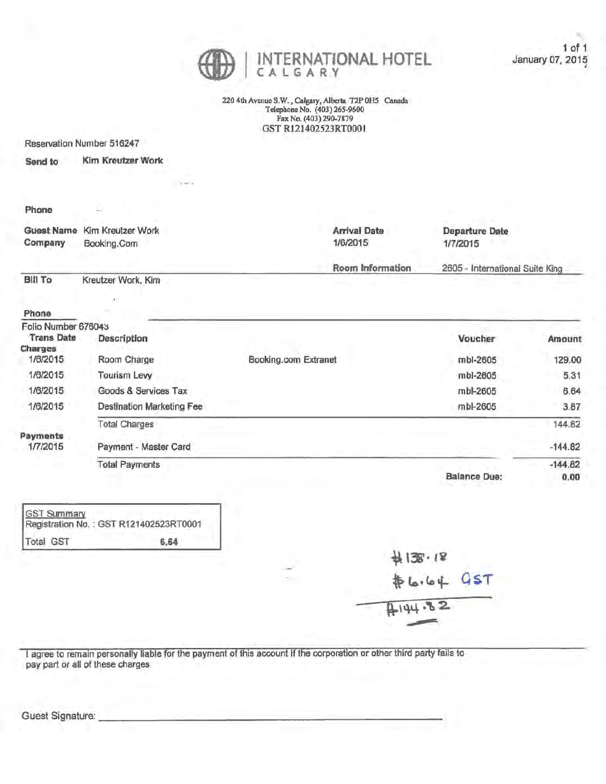

220 4th Avenue S.W. , Calgary, Alberta T2P OHS Canada Telephone No. (403) 265-9600 Fax No. (403) 290-7879 OST R121402523RT0001

Reservation Number 516247

Send to Kim Kreutzer Work

#### Phone

| Company | Guest Name Kim Kreutzer Work | <b>Arrival Date</b> | Departure Date                  |
|---------|------------------------------|---------------------|---------------------------------|
|         | Booking.Com                  | 1/6/2015            | 1/7/2015                        |
|         |                              | Room Information    | 2605 - International Suite King |

Bill To Kreutzer Work, Kim

 $\lambda$ 

# Phone

| Folio Number 676043 |                                  |                      |                     |           |
|---------------------|----------------------------------|----------------------|---------------------|-----------|
| <b>Trans Date</b>   | <b>Description</b>               |                      | Voucher             | Amount    |
| Charges             |                                  |                      |                     |           |
| 1/6/2015            | Room Charge                      | Booking.com Extranet | mbl-2605            | 129.00    |
| 1/6/2015            | <b>Tourism Levy</b>              |                      | mbl-2605            | 5.31      |
| 1/6/2015            | Goods & Services Tax             |                      | mbl-2605            | 6.64      |
| 1/6/2015            | <b>Destination Marketing Fee</b> |                      | mbl-2605            | 3.87      |
|                     | <b>Total Charges</b>             |                      |                     | 144.82    |
| Payments            |                                  |                      |                     |           |
| 1/7/2015            | Payment - Master Card            |                      |                     | $-144.82$ |
|                     | <b>Total Payments</b>            |                      |                     | $-144.82$ |
|                     |                                  |                      | <b>Balance Due:</b> | 0.00      |

|           | GST Summary<br>Registration No.: GST R121402523RT0001 |
|-----------|-------------------------------------------------------|
| Total GST | 6.64                                                  |

| 科138.18    |  |
|------------|--|
| \$6.64 GST |  |
| 444.82     |  |

I agree to remain personally liable for the payment of this account if the corporation or other third party fails to pay part or all of these charges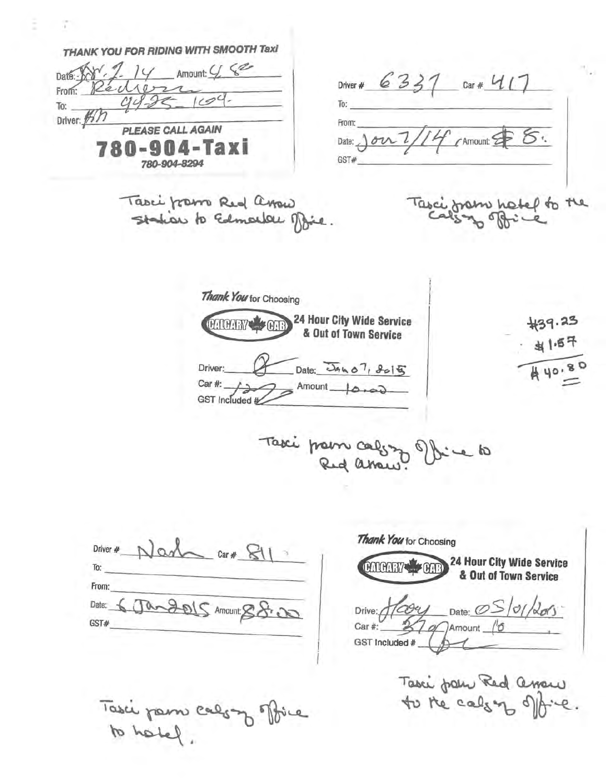THANK YOU FOR RIDING WITH SMOOTH Taxi Date:  $89.2.14$  Amount: 4  $8$ Driver # 6337 car # 417 Réciso  $From:$  $443$  $To:$ To: Driver: 1577 From: **PLEASE CALL AGAIN**  $5.$ Date: 1022/14  $\bigwedge$  Amount: 780-904-Taxi GST# 780-904-8294 Tasci from Red arow<br>Station to Edmontal Mie Tasci from hotel to the Thank You tor Choosing #39.23 24 Hour City Wide Service CALCARY CAR & Out of Town Service Date: JAKO<sup>7</sup>, 8015  $440.8$ Driver:  $\geq$  Amount  $\longrightarrow$ Car #: Car#:  $\overbrace{ }\n\quad$  GST included # Taxi prom calgozo ellice to Thank You for Choosing Driver #  $N$  and  $car#$   $\mathbb{S}1$ 24 Hour City Wide Service CATCARY CARR To: & Out of Town Service

From: Date: 6 Jan 2015 Amount: 88.00 GST#

Tasci pam calony office to hatel.

Drive:  $\sqrt{cos\psi}$  Date:  $OS/01/200$ Car # 20 Amount 10 GST Included #

Taxi pour Red asserve.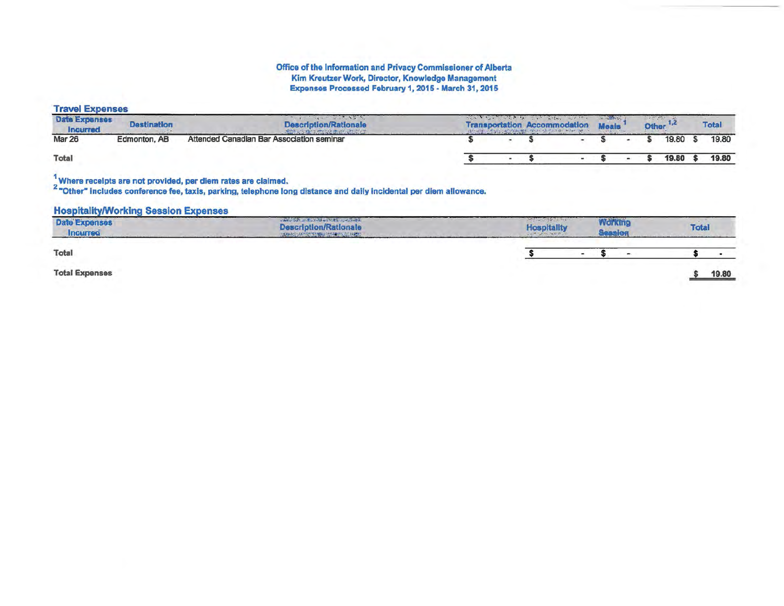# Office of the Information and Privacy Commissioner of Alberta<br>Kim Kreutzer Work, Director, Knowledge Management Expenses Processed February 1, 2015 - March 31, 2015

## **Travel Expenses**

| <b>Date Expenses</b><br>Incurred | <b>Destination</b> | the company of the company of the<br>the contract of the contract of<br><b>Description/Rationale</b> |  | while the community of the most and the community of the community of<br><b>Transportation Accommodation</b> | <b>Meals</b> | <b>Other</b> |       | <b>Total</b> |  |
|----------------------------------|--------------------|------------------------------------------------------------------------------------------------------|--|--------------------------------------------------------------------------------------------------------------|--------------|--------------|-------|--------------|--|
| Mar 26                           | Edmonton, AB       | Attended Canadian Bar Association seminar                                                            |  |                                                                                                              |              |              | 19.80 | 19.80        |  |
| Total                            |                    |                                                                                                      |  |                                                                                                              |              |              | 19.80 | 19.80        |  |

 $^1$  Where receipts are not provided, per diem rates are claimed.<br><sup>2</sup> "Other" includes conference fee, taxis, parking, telephone long distance and daily incidental per diem allowance.

### **Hospitality/Working Session Expenses**

| <b>Date Expenses</b><br><b>Incurred</b> | <b>WARD OF A REAL PROPERTY OF A REAL PROPERTY</b><br><b>Description/Rationale</b><br>ARREST APPEAL TO WELFARE CONTROL | <b>Hospitality</b><br><b>CONTRACTOR</b> | Working |  | <b>Total</b> |
|-----------------------------------------|-----------------------------------------------------------------------------------------------------------------------|-----------------------------------------|---------|--|--------------|
| Total                                   |                                                                                                                       | and the control of the control of the   |         |  |              |
| <b>Total Expenses</b>                   |                                                                                                                       |                                         |         |  | 19.80        |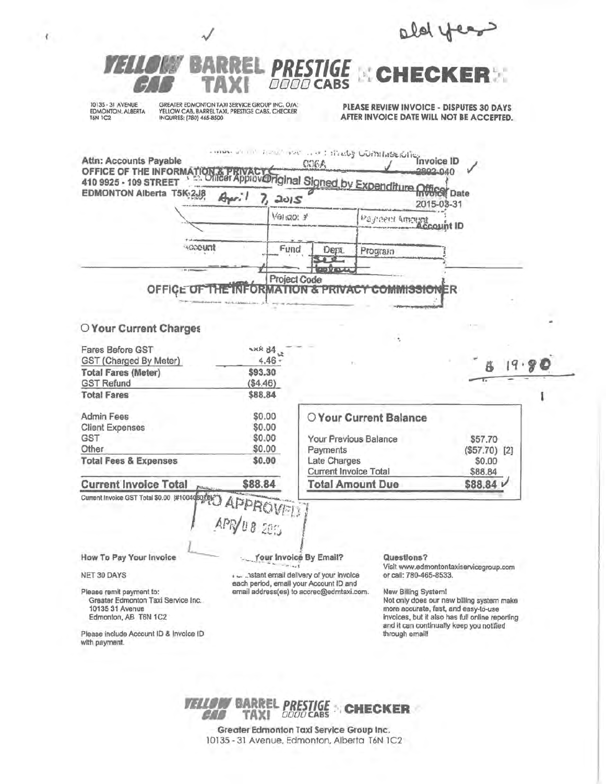ald year PRESTIGE & CHE DOOD CABS 10135 - 31 AVENUE GREATER EDMONTON TAXI SERVICE GROUP INC. O/A:<br>YELLOW CAB, BARREL TAXI, PRESTIGE CABS, CHECKER PLEASE REVIEW INVOICE - DISPUTES 30 DAYS EDMONTON, ALBERTA AFTER INVOICE DATE WILL NOT BE ACCEPTED. **T6N 1C2** INQUIRES: (780) 465-8500 more and there have a withhely Commercies on a **Attn: Accounts Payable** OFFICE OF THE INFORMATION & PRIVACY Original Signed by **COEA** 2802.040 Expenditure Office pate **EDMONTON Alberta T5K-2J8** A. 2015 2015-03-31 Paynent America unt ID Verigo: 3 **KOODUNI** Fund Dept. Program  $00$ potat Project Code OFFICE OF THE **TNT ORMATION & PRIVAC COMMISSIO** ΞD O Your Current Charges **NAR 84 Fares Before GST** ت GST (Charged By Meter) 4.46 \$93.30 **Total Fares (Meter) GST Refund**  $($4.46)$ **Total Fares** \$88.84 Admin Fees \$0.00 O Your Current Balance **Client Expenses** \$0.00 **GST** \$0.00 Your Previous Balance \$57.70 Other \$0.00 Payments  $($57.70)$  [2] **Total Fees & Expenses** \$0.00 Late Charges \$0.00 Current Invoice Total \$88.84 **Total Amount Due Current Invoice Total** \$88.84 \$88.84 L Current Invoice GST Total \$0.00 [#100408070] **APPROVEL** 20% How To Pay Your Invoice Your Invoice By Email? Questions? Visit www.edmontontaxiservicegroup.com NET 30 DAYS .... .. astant email delivery of your invoice or call: 780-465-8533. each period, email your Account ID and email address(es) to accrec@edmtaxi.com. Please remit payment to: New Billing System! Greater Edmonton Taxi Service Inc. Not only does our new billing system make 10135 31 Avenue more accurate, fast, and easy-to-use Edmonton, AB T6N 1C2 invoices, but it also has full online reporting and it can continually keep you notified Please include Account ID & Invoice ID through email! with payment.

×



Greater Edmonton Taxl Service Group Inc. 10135 - 31 Avenue, Edmonton, Alberta T6N 1C2